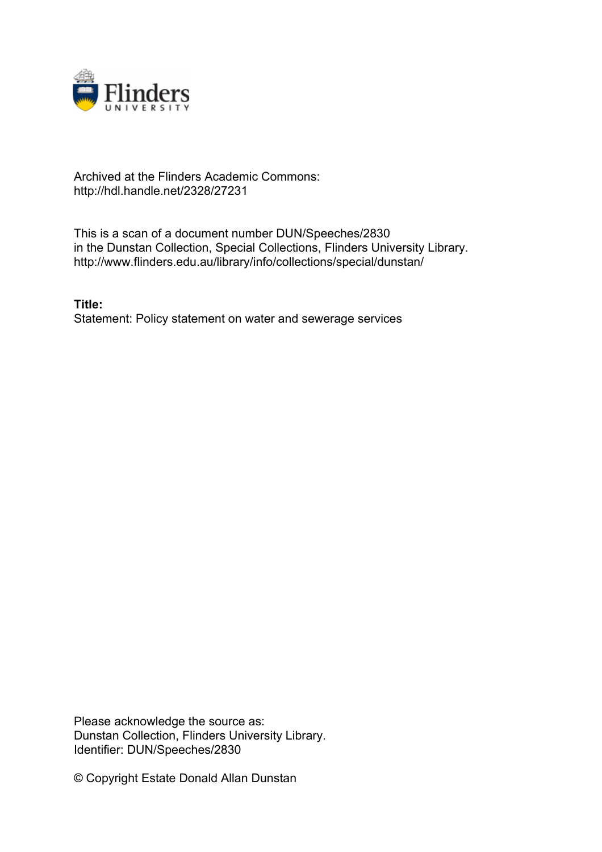

# Archived at the Flinders Academic Commons: http://hdl.handle.net/2328/27231

This is a scan of a document number DUN/Speeches/2830 in the Dunstan Collection, Special Collections, Flinders University Library. http://www.flinders.edu.au/library/info/collections/special/dunstan/

**Title:** Statement: Policy statement on water and sewerage services

Please acknowledge the source as: Dunstan Collection, Flinders University Library. Identifier: DUN/Speeches/2830

© Copyright Estate Donald Allan Dunstan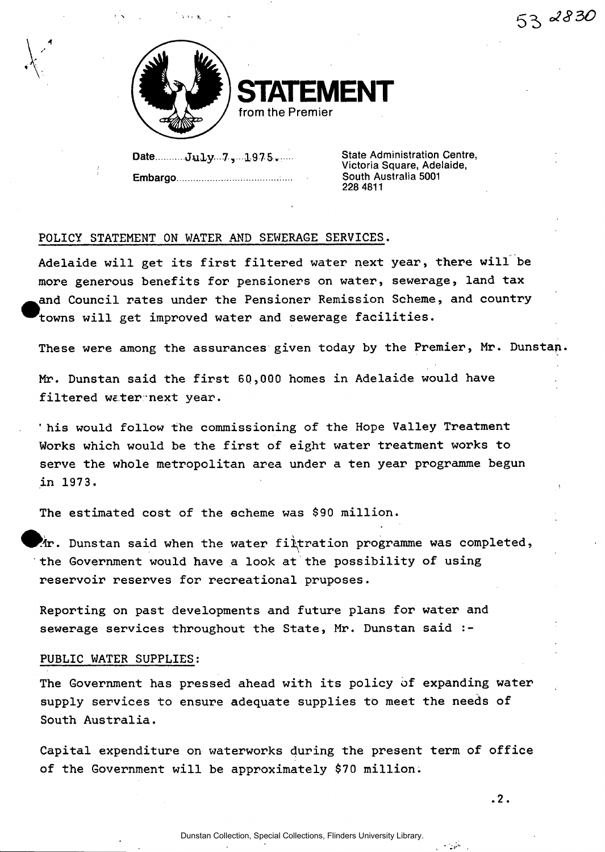

**STATEMENT from the Premier** 

Date..........July...7.,..1975...... **Embargo** 

**State Administration Centre, Victoria Square, Adelaide, South Australia 5001 228 4811** 

# **POLICY STATEMENT ON WATER AND SEWERAGE SERVICES.**

**Adelaide will get its first filtered water next year, there will be more generous benefits for pensioners on water, sewerage, land tax ^an d Council rates under the Pensioner Remission Scheme, and country ^'towns will get improved water and sewerage facilities.** 

**These were among the assurances given today by the Premier, Mr. Dunstap.** 

**Mr. Dunstan said the first 60,000 homes in Adelaide would have filtered weternext year.** 

**' his would follow the commissioning of the Hope Valley Treatment Works which would be the first of eight water treatment works to serve the whole metropolitan area under a ten year programme begun in 197 3.** 

**The estimated cost of the scheme was \$90 million.** 

**^fclr. Dunstan said when the water filtration programme was completed, the Government would have a look at the possibility of using reservoir reserves for recreational pruposes.** 

**Reporting on past developments and future plans for water and sewerage services throughout the State, Mr. Dunstan said :-**

# **PUBLIC WATER SUPPLIES:**

**The Government has pressed ahead with its policy of expanding water supply services to ensure adequate supplies to meet the needs of South Australia.** 

**Capital expenditure on waterworks during the present term of office of the Government will be approximately \$70 million.** 

المتورد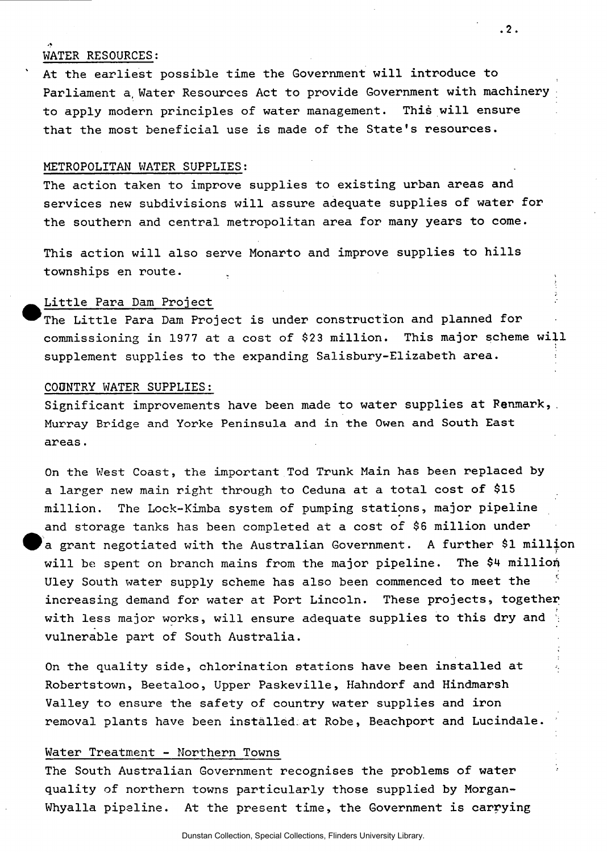# **WATER RESOURCES:**

**' At the earliest possible time the Government will introduce to Parliament a, Water Resources Act to provide Government with machinery to apply modern principles of water management. This will ensure that the most beneficial use is made of the State's resources.** 

#### **METROPOLITAN WATER SUPPLIES;**

**The action taken to improve supplies to existing urban areas and services new subdivisions will assure adequate supplies of water for the southern and central metropolitan area for many years to come.** 

**This action will also serve Monarto and improve supplies to hills townships en route.** 

# **^ ^ Little Para Dam Project**

**^^Th e Little Para Dam Project is under construction and planned for**  commissioning in 1977 at a cost of \$23 million. This major scheme will **supplement supplies to the expanding Salisbury-Elizabeth area.** 

### **COUNTRY WATER SUPPLIES:**

**Significant improvements have been made to water supplies at Renmark,. Murray Bridge and Yorke Peninsula and in the Owen and South East areas.** 

**On the West Coast, the important Tod Trunk Main has been replaced by a larger new main right through to Ceduna at a total cost of \$15 million. The Lock-Kimba system of pumping stations, major pipeline and storage tanks has been completed at a cost of \$6 million under ^ ^ a grant negotiated with the Australian Government. A further \$1 million will be spent on branch mains from the major pipeline. The \$4 million Uley South water supply scheme has also been commenced to meet the increasing demand for water at Port Lincoln. These projects, together with less major works, will ensure adequate supplies to this dry and vulnerable part of South Australia.** 

**On the quality side, chlorination stations have been installed at Robertstown, Beetaloo, Upper Paskeville, Hahndorf and Hindmarsh Valley to ensure the safety of country water supplies and iron removal plants have been installed:at Robe, Beachport and Lucindale.** 

#### **Water Treatment - Northern Towns**

**The South Australian Government recognises the problems of water quality of northern towns particularly those supplied by Morgan-Whyalla pipeline. At the present time, the Government is carrying**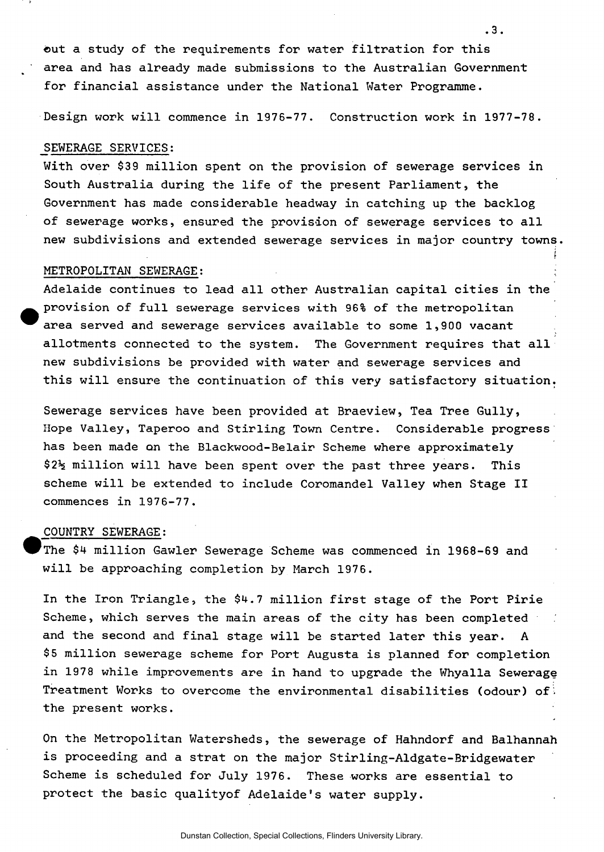**©ut a study of the requirements for water filtration for this area and has already made submissions to the Australian Government for financial assistance under the National Water Programme.** 

**.3.** 

•

**Design work will commence in 1976-77. Construction work in 1977-78.** 

#### **SEWERAGE SERVICES:**

**With over \$39 million spent on the provision of sewerage services in South Australia during the life of the present Parliament, the Government has made considerable headway in catching up the backlog of sewerage works, ensured the provision of sewerage services to all new subdivisions and extended sewerage services in major country towns.** 

#### **METROPOLITAN SEWERAGE:**

**Adelaide continues to lead all other Australian capital cities in the provision of full sewerage services with 96% of the metropolitan area served and sewerage services available to some 1,900 vacant allotments connected to the system. The Government requires that all new subdivisions be provided with water and sewerage services and this will ensure the continuation of this very satisfactory situation.** 

**Sewerage services have been provided at Braeview, Tea Tree Gully, Hope Valley, Taperoo and Stirling Town Centre. Considerable progress has been made an the Blackwood-Belair Scheme where approximately \$2Jg million will have been spent over the past three years. This scheme will be extended to include Coromandel Valley when Stage II commences in 1976-77.** 

### **COUNTRY SEWERAGE:**

**The \$4 million Gawler Sewerage Scheme was commenced in 1968-69 and will be approaching completion by March 1976.** 

**In the Iron Triangle, the \$4.7 million first stage of the Port Pirie Scheme, which serves the main areas of the city has been completed and the second and final stage will be started later this year. A \$5 million sewerage scheme for Port Augusta is planned for completion in 1978 while improvements are in hand to upgrade the Whyalla Sewerage Treatment Works to overcome the environmental disabilities (odour) of:. the present works.** 

**On the Metropolitan Watersheds, the sewerage of Hahndorf and Balhannah is proceeding and a strat on the major Stirling-Aldgate-Bridgewater Scheme is scheduled for July 1976. These works are essential to protect the basic qualityof Adelaide's water supply.**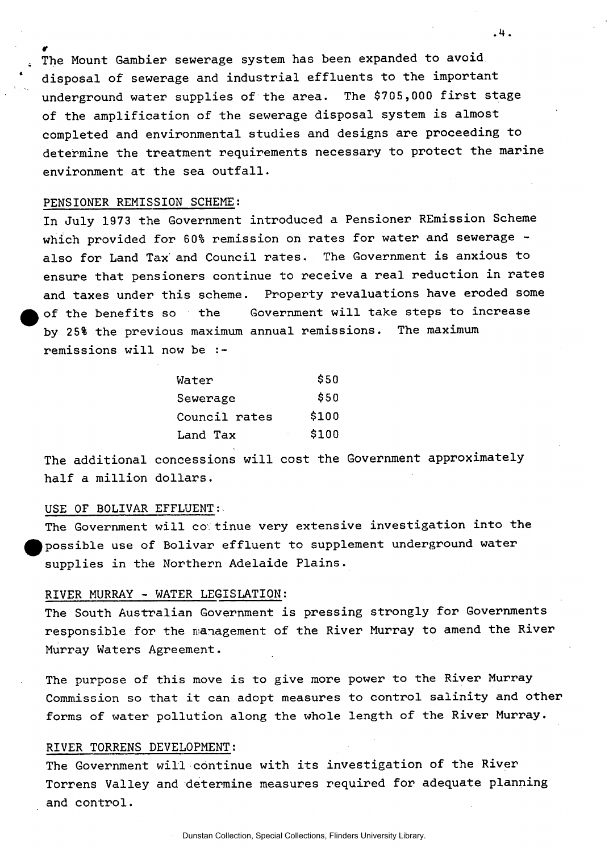**r The Mount Gambier sewerage system has been expanded to avoid disposal of sewerage and industrial effluents to the important underground water supplies of the area. The \$705,000 first stage of the amplification of the sewerage disposal system is almost completed and environmental studies and designs are proceeding to determine the treatment requirements necessary to protect the marine environment at the sea outfall.** 

**.4.** 

#### **PENSIONER REMISSION SCHEME;**

**In July 1973 the Government introduced a Pensioner REmission Scheme which provided for 60% remission on rates for water and sewerage also for Land Tax and Council rates. The Government is anxious to ensure that pensioners continue to receive a real reduction in rates and taxes under this scheme. Property revaluations have eroded some of the benefits so the Government will take steps to increase by 25% the previous maximum annual remissions. The maximum remissions will now be :-**

| Water         | \$50  |
|---------------|-------|
| Sewerage      | \$50  |
| Council rates | \$100 |
| Land Tax      | \$100 |

**The additional concessions will cost the Government approximately half a million dollars.** 

# **USE OF BOLIVAR EFFLUENT:.**

**The Government will co tinue very extensive investigation into the possible use of Bolivar effluent to supplement underground water supplies in the Northern Adelaide Plains.** 

### **RIVER MURRAY - WATER LEGISLATION:**

**The South Australian Government is pressing strongly for Governments responsible for the management of the River Murray to amend the River Murray Waters Agreement.** 

**The purpose of this move is to give more power to the River Murray Commission so that it can adopt measures to control salinity and other forms of water pollution along the whole length of the River Murray.** 

#### **RIVER TORRENS DEVELOPMENT:**

**The Government will continue with its investigation of the River Torrens Valley and determine measures required for adequate planning and control.**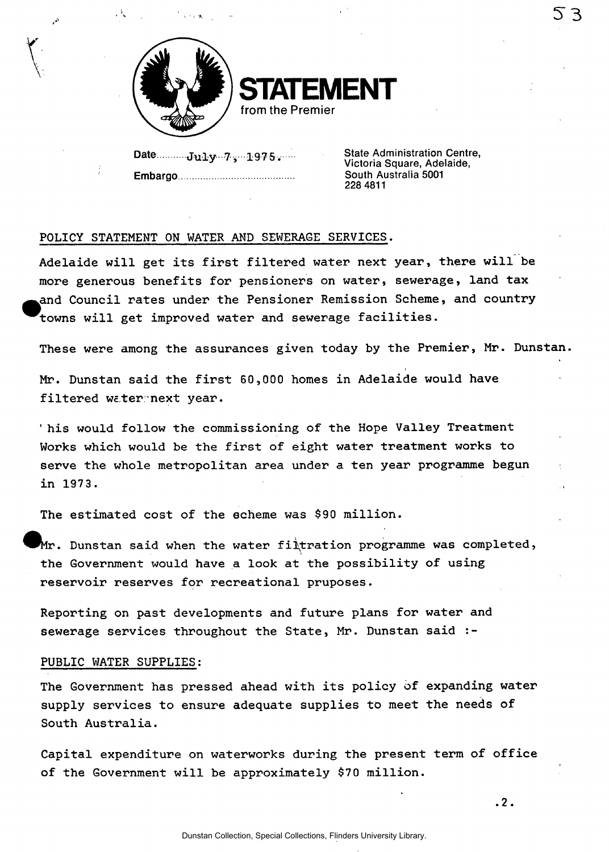

**STATEMENT from the Premier** 

Date...........July ... 7, ...1975...... **Embargo** 

**State Administration Centre, Victoria Square, Adelaide, South Australia 5001 228 4811** 

**53** 

# **POLICY STATEMENT ON WATER AND SEWERAGE SERVICES.**

**Adelaide will get its first filtered water next year, there will be more generous benefits for pensioners on water, sewerage, land tax ^^and Council rates under the Pensioner Remission Scheme, and country ^^rowns will get improved water and sewerage facilities.** 

**These were among the assurances given today by the Premier, Mr. Dunstan.** 

**i Mr. Dunstan said the first 60,000 homes in Adelaide would have filtered weter-next year.** 

**' his would follow the commissioning of the Hope Valley Treatment Works which would be the first of eight water treatment works to serve the whole metropolitan area under a ten year programme begun in 197 3.** 

**The estimated cost of the scheme was \$90 million.** 

**Dunstan said when the water filtration programme was completed, the Government would have a look at the possibility of using reservoir reserves for recreational pruposes.** 

**Reporting on past developments and future plans for water and sewerage services throughout the State, Mr. Dunstan said :-**

### **PUBLIC WATER SUPPLIES:**

**The Government has pressed ahead with its policy of expanding water supply services to ensure adequate supplies to meet the needs of South Australia.** 

**Capital expenditure on waterworks during the present term of office of the Government will be approximately \$70 million.** 

**.2.**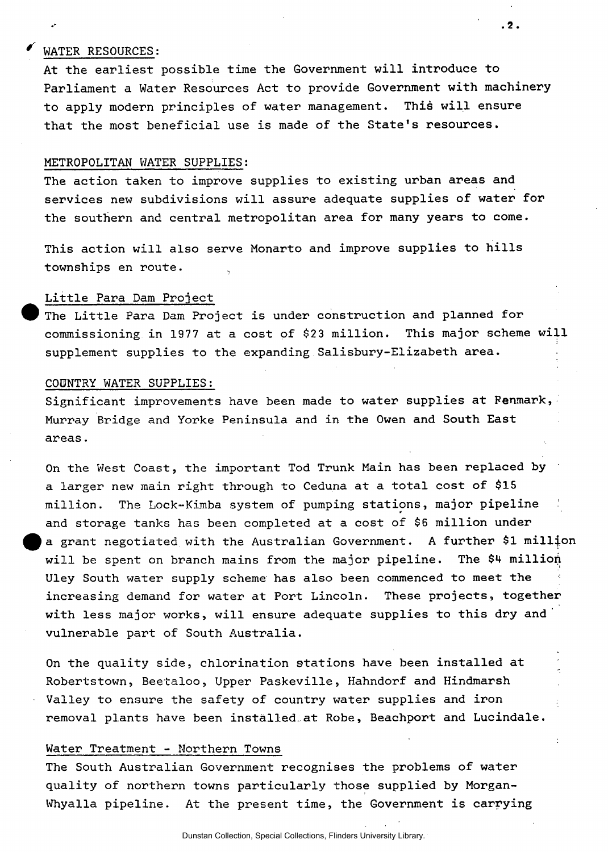# **' WATER RESOURCES:**

**At the earliest possible time the Government will introduce to Parliament a Water Resources Act to provide Government with machinery to apply modern principles of water management. This will ensure that the most beneficial use is made of the State's resources.** 

**. 2 .** 

#### **METROPOLITAN WATER SUPPLIES:**

**The action taken to improve supplies to existing urban areas and services new subdivisions will assure adequate supplies of water for the southern and central metropolitan area for many years to come.** 

**This action will also serve Monarto and improve supplies to hills townships en route.** 

# **Little Para Dam Project**

**^ ^ The Little Para Dam Project is under construction and planned for commissioning in 1977 at a cost of \$23 million. This major scheme will supplement supplies to the expanding Salisbury-Elizabeth area.** 

#### **COUNTRY WATER SUPPLIES:**

**Significant improvements have been made to water supplies at Renmark, Murray Bridge and Yorke Peninsula and in the Owen and South East areas.** 

**On the West Coast, the important Tod Trunk Main has been replaced by a larger new main right through to Ceduna at a total cost of \$15 million. The Lock-Kimba system of pumping stations, major pipeline and storage tanks has been completed at a cost of \$6 million under ^ ^ a grant negotiated with the Australian Government. A further \$1 million will be spent on branch mains from the major pipeline. The \$4 millioii Uley South water supply scheme has also been commenced to meet the increasing demand for water at Port Lincoln. These projects, together with less major works, will ensure adequate supplies to this dry and vulnerable part of South Australia.** 

**On the quality side, chlorination stations have been installed at Robertstown, Beetaloo, Upper Paskeville, Hahndorf and Hindmarsh Valley to ensure the safety of country water supplies and iron removal plants have been installed.at Robe, Beachport and Lucindale.** 

# **Water Treatment - Northern Towns**

**The South Australian Government recognises the problems of water quality of northern towns particularly those supplied by Morgan-Whyalla pipeline. At the present time, the Government is carrying**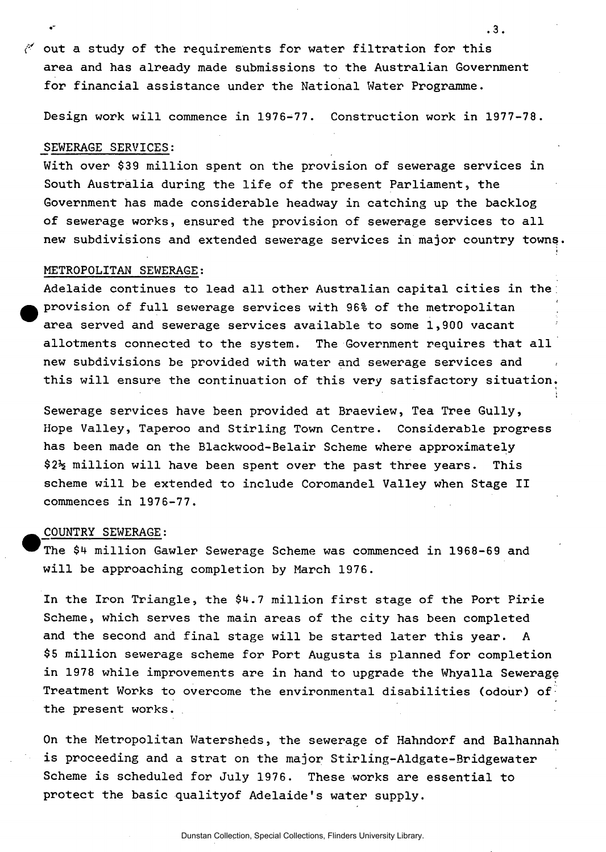**out a study of the requirements for water filtration for this area and has already made submissions to the Australian Government for financial assistance under the National Water Programme.** 

**Design work will commence in 1976-77. Construction work in 1977-78.** 

**. 3.** 

#### **SEWERAGE SERVICES:**

**With over \$39 million spent on the provision of sewerage services in South Australia during the life of the present Parliament, the Government has made considerable headway in catching up the backlog of sewerage works, ensured the provision of sewerage services to all new subdivisions and extended sewerage services in major country towns.** 

#### **METROPOLITAN SEWERAGE:**

**Adelaide continues to lead all other Australian capital cities in the provision of full sewerage services with 96% of the metropolitan area served and sewerage services available to some 1,900 vacant allotments connected to the system. The Government requires that all new subdivisions be provided with water and sewerage services and this will ensure the continuation of this very satisfactory situation.** 

**Sewerage services have been provided at Braeview, Tea Tree Gully, Hope Valley, Taperoo and Stirling Town Centre. Considerable progress has been made on the Blackwood-Belair Scheme where approximately \$2% million will have been spent over the past three years. This scheme will be extended to include Coromandel Valley when Stage II commences in 1976-77.** 

# **COUNTRY SEWERAGE:**

**The \$4 million Gawler Sewerage Scheme was commenced in 1968-69 and will be approaching completion by March 1976.** 

**In the Iron Triangle, the \$4.7 million first stage of the Port Pirie Scheme, which serves the main areas of the city has been completed and the second and final stage will be started later this year. A \$5 million sewerage scheme for Port Augusta is planned for completion in 1978 while improvements are in hand to upgrade the Whyalla Sewerage Treatment Works to overcome the environmental disabilities (odour) of the present works.** 

**On the Metropolitan Watersheds, the sewerage of Hahndorf and Balhannah is proceeding and a strat on the major Stirling-Aldgate-Bridgewater**  Scheme is scheduled for July 1976. These works are essential to **protect the basic qualityof Adelaide's water supply.**